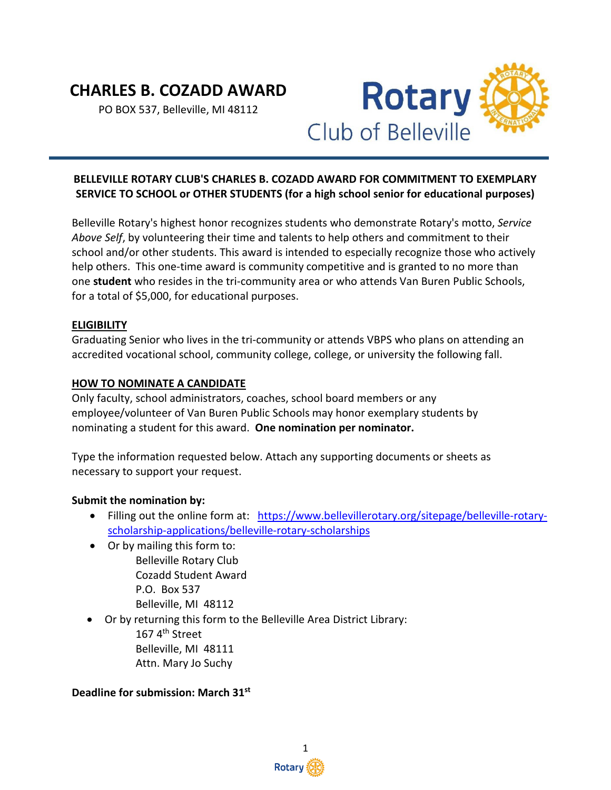# **CHARLES B. COZADD AWARD**

PO BOX 537, Belleville, MI 48112



# **BELLEVILLE ROTARY CLUB'S CHARLES B. COZADD AWARD FOR COMMITMENT TO EXEMPLARY SERVICE TO SCHOOL or OTHER STUDENTS (for a high school senior for educational purposes)**

Belleville Rotary's highest honor recognizes students who demonstrate Rotary's motto, *Service Above Self*, by volunteering their time and talents to help others and commitment to their school and/or other students. This award is intended to especially recognize those who actively help others. This one-time award is community competitive and is granted to no more than one **student** who resides in the tri-community area or who attends Van Buren Public Schools, for a total of \$5,000, for educational purposes.

## **ELIGIBILITY**

Graduating Senior who lives in the tri-community or attends VBPS who plans on attending an accredited vocational school, community college, college, or university the following fall.

## **HOW TO NOMINATE A CANDIDATE**

Only faculty, school administrators, coaches, school board members or any employee/volunteer of Van Buren Public Schools may honor exemplary students by nominating a student for this award. **One nomination per nominator.**

Type the information requested below. Attach any supporting documents or sheets as necessary to support your request.

#### **Submit the nomination by:**

- Filling out the online form at: [https://www.bellevillerotary.org/sitepage/belleville-rotary](https://www.bellevillerotary.org/sitepage/belleville-rotary-scholarship-applications/belleville-rotary-scholarships)[scholarship-applications/belleville-rotary-scholarships](https://www.bellevillerotary.org/sitepage/belleville-rotary-scholarship-applications/belleville-rotary-scholarships)
- Or by mailing this form to: Belleville Rotary Club Cozadd Student Award P.O. Box 537 Belleville, MI 48112
- Or by returning this form to the Belleville Area District Library:

167 4th Street Belleville, MI 48111 Attn. Mary Jo Suchy

#### **Deadline for submission: March 31st**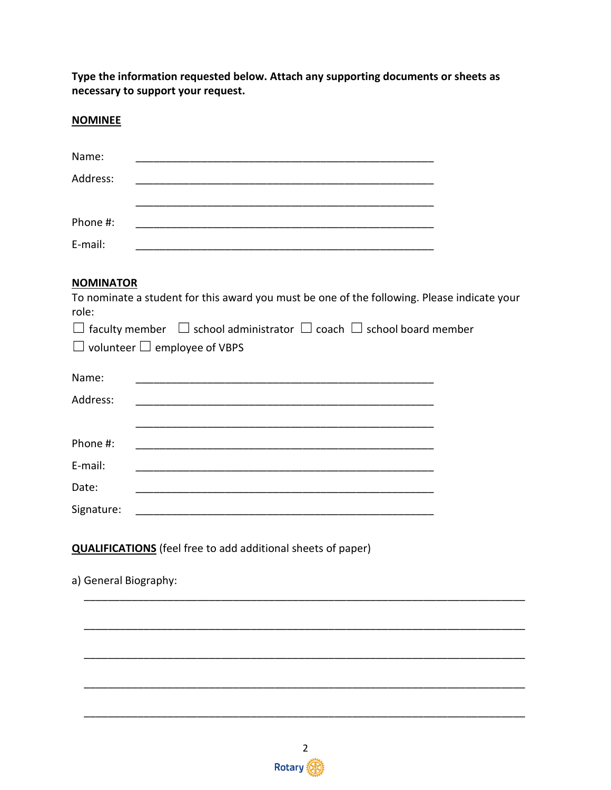Type the information requested below. Attach any supporting documents or sheets as necessary to support your request.

## **NOMINEE**

| Name:    |  |  |  |
|----------|--|--|--|
| Address: |  |  |  |
|          |  |  |  |
| Phone #: |  |  |  |
| E-mail:  |  |  |  |

## **NOMINATOR**

| To nominate a student for this award you must be one of the following. Please indicate your<br>role: |  |
|------------------------------------------------------------------------------------------------------|--|
| $\Box$ faculty member $\Box$ school administrator $\Box$ coach $\Box$ school board member            |  |
| $\Box$ volunteer $\Box$ employee of VBPS                                                             |  |
| Name:                                                                                                |  |
| Address:<br><u> 1980 - John Stein, Amerikaansk politiker (* 1918)</u>                                |  |
| Phone #:                                                                                             |  |
| E-mail:<br><u> 1980 - John Stein, Amerikaansk politiker (</u> † 1910)                                |  |
| Date:                                                                                                |  |
| Signature:                                                                                           |  |
| <b>QUALIFICATIONS</b> (feel free to add additional sheets of paper)<br>a) General Biography:         |  |
|                                                                                                      |  |
|                                                                                                      |  |
|                                                                                                      |  |
|                                                                                                      |  |
|                                                                                                      |  |

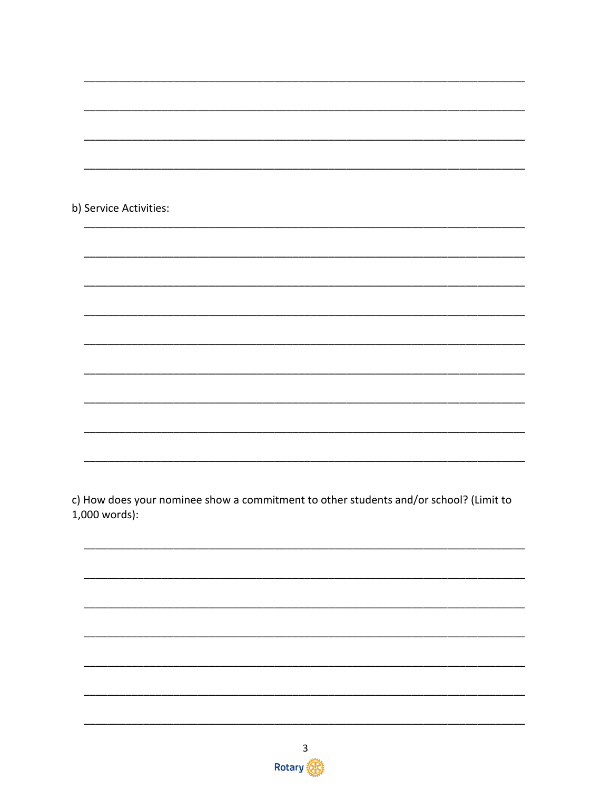| b) Service Activities: |
|------------------------|
|                        |
|                        |
|                        |
|                        |
|                        |
|                        |
|                        |
|                        |
|                        |
|                        |
|                        |
|                        |
|                        |
|                        |
|                        |
|                        |
|                        |
|                        |
|                        |
|                        |

c) How does your nominee show a commitment to other students and/or school? (Limit to  $1,000$  words):

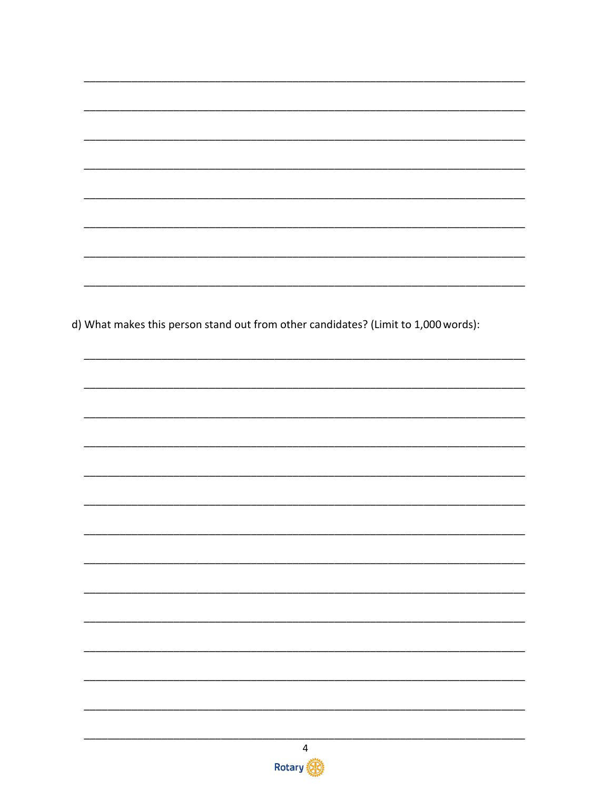d) What makes this person stand out from other candidates? (Limit to 1,000 words):  $\overline{4}$ Rotary (